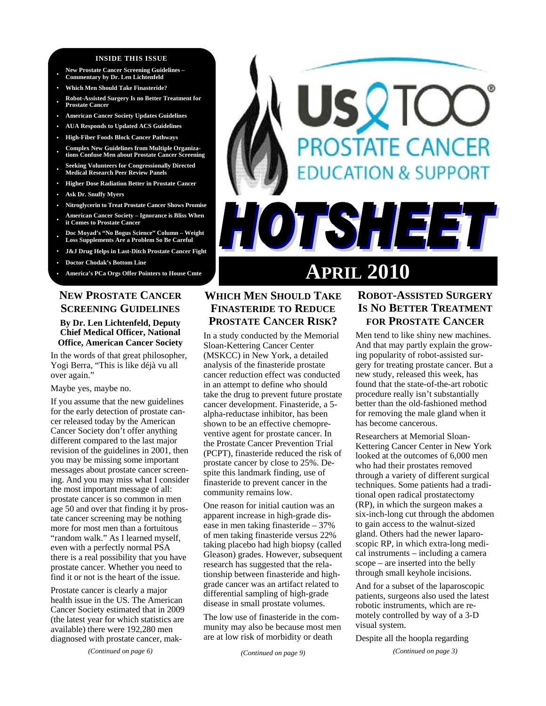#### **INSIDE THIS ISSUE**

- **New Prostate Cancer Screening Guidelines Commentary by Dr. Len Lichtenfeld**
- **Which Men Should Take Finasteride?**
- **Robot-Assisted Surgery Is no Better Treatment for Prostate Cancer**
- **American Cancer Society Updates Guidelines**
- **AUA Responds to Updated ACS Guidelines**
- **High-Fiber Foods Block Cancer Pathways**
- **Complex New Guidelines from Multiple Organiza-tions Confuse Men about Prostate Cancer Screening**
- **Seeking Volunteers for Congressionally Directed Medical Research Peer Review Panels**
- **Higher Dose Radiation Better in Prostate Cancer**
- **Ask Dr. Snuffy Myers**
- **Nitroglycerin to Treat Prostate Cancer Shows Promise**
- **American Cancer Society Ignorance is Bliss When it Comes to Prostate Cancer**
- **Doc Moyad's "No Bogus Science" Column Weight Loss Supplements Are a Problem So Be Careful**
- **J&J Drug Helps in Last-Ditch Prostate Cancer Fight**
- **Doctor Chodak's Bottom Line**
- 

## **NEW PROSTATE CANCER SCREENING GUIDELINES**

#### **By Dr. Len Lichtenfeld, Deputy Chief Medical Officer, National Office, American Cancer Society**

In the words of that great philosopher, Yogi Berra, "This is like déjà vu all over again."

#### Maybe yes, maybe no.

If you assume that the new guidelines for the early detection of prostate cancer released today by the American Cancer Society don't offer anything different compared to the last major revision of the guidelines in 2001, then you may be missing some important messages about prostate cancer screening. And you may miss what I consider the most important message of all: prostate cancer is so common in men age 50 and over that finding it by prostate cancer screening may be nothing more for most men than a fortuitous "random walk." As I learned myself, even with a perfectly normal PSA there is a real possibility that you have prostate cancer. Whether you need to find it or not is the heart of the issue.

Prostate cancer is clearly a major health issue in the US. The American Cancer Society estimated that in 2009 (the latest year for which statistics are available) there were 192,280 men diagnosed with prostate cancer, mak-

# America's PCa Orgs Offer Pointers to House Cmte **APRIL 2010**

## **WHICH MEN SHOULD TAKE FINASTERIDE TO REDUCE PROSTATE CANCER RISK?**

O

J

In a study conducted by the Memorial Sloan-Kettering Cancer Center (MSKCC) in New York, a detailed analysis of the finasteride prostate cancer reduction effect was conducted in an attempt to define who should take the drug to prevent future prostate cancer development. Finasteride, a 5 alpha-reductase inhibitor, has been shown to be an effective chemopreventive agent for prostate cancer. In the Prostate Cancer Prevention Trial (PCPT), finasteride reduced the risk of prostate cancer by close to 25%. Despite this landmark finding, use of finasteride to prevent cancer in the community remains low.

One reason for initial caution was an apparent increase in high-grade disease in men taking finasteride – 37% of men taking finasteride versus 22% taking placebo had high biopsy (called Gleason) grades. However, subsequent research has suggested that the relationship between finasteride and highgrade cancer was an artifact related to differential sampling of high-grade disease in small prostate volumes.

The low use of finasteride in the community may also be because most men are at low risk of morbidity or death

## **ROBOT-ASSISTED SURGERY IS NO BETTER TREATMENT FOR PROSTATE CANCER**

**DSTATE CANCER** 

**UCATION & SUPPORT** 

TSHEE

Men tend to like shiny new machines. And that may partly explain the growing popularity of robot-assisted surgery for treating prostate cancer. But a new study, released this week, has found that the state-of-the-art robotic procedure really isn't substantially better than the old-fashioned method for removing the male gland when it has become cancerous.

Researchers at Memorial Sloan-Kettering Cancer Center in New York looked at the outcomes of 6,000 men who had their prostates removed through a variety of different surgical techniques. Some patients had a traditional open radical prostatectomy (RP), in which the surgeon makes a six-inch-long cut through the abdomen to gain access to the walnut-sized gland. Others had the newer laparoscopic RP, in which extra-long medical instruments – including a camera scope – are inserted into the belly through small keyhole incisions.

And for a subset of the laparoscopic patients, surgeons also used the latest robotic instruments, which are remotely controlled by way of a 3-D visual system.

Despite all the hoopla regarding

*(Continued on page 3)* 

*<sup>(</sup>Continued on page 9)*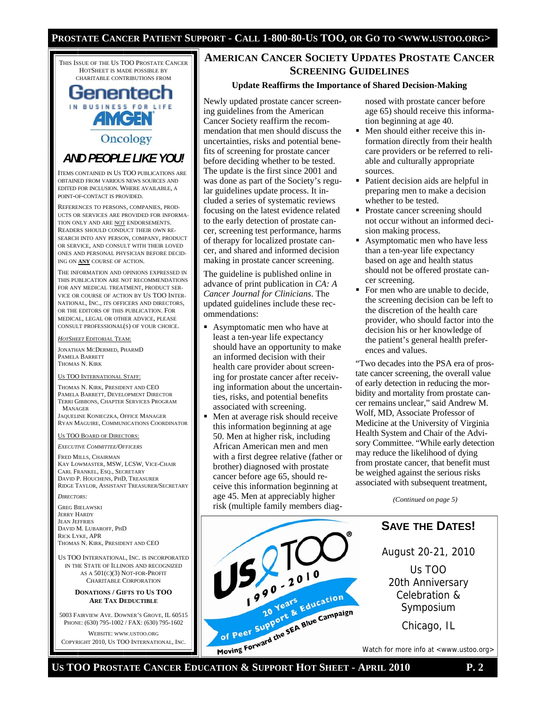#### **PROSTATE CANCER PATIENT SUPPORT - CALL 1-800-80-US TOO, OR GO TO <WWW.USTOO.ORG>**

THIS ISSUE OF THE US TOO PROSTATE CANCER HOTSHEET IS MADE POSSIBLE BY CHARITABLE CONTRIBUTIONS FROM

## Genentech **AMGEN**

## Oncology *AND PEOPLE LIKE YOU!*

ITEMS CONTAINED IN US TOO PUBLICATIONS ARE OBTAINED FROM VARIOUS NEWS SOURCES AND EDITED FOR INCLUSION. WHERE AVAILABLE, A POINT-OF-CONTACT IS PROVIDED.

REFERENCES TO PERSONS, COMPANIES, PROD-UCTS OR SERVICES ARE PROVIDED FOR INFORMA-TION ONLY AND ARE NOT ENDORSEMENTS. READERS SHOULD CONDUCT THEIR OWN RE-SEARCH INTO ANY PERSON, COMPANY, PRODUCT OR SERVICE, AND CONSULT WITH THEIR LOVED ONES AND PERSONAL PHYSICIAN BEFORE DECID-ING ON **ANY** COURSE OF ACTION.

THE INFORMATION AND OPINIONS EXPRESSED IN THIS PUBLICATION ARE NOT RECOMMENDATIONS FOR ANY MEDICAL TREATMENT, PRODUCT SER-VICE OR COURSE OF ACTION BY US TOO INTER-NATIONAL, INC., ITS OFFICERS AND DIRECTORS, OR THE EDITORS OF THIS PUBLICATION. FOR MEDICAL, LEGAL OR OTHER ADVICE, PLEASE CONSULT PROFESSIONAL(S) OF YOUR CHOICE.

*HOTSHEET* EDITORIAL TEAM:

JONATHAN MCDERMED, PHARMD PAMELA BARRETT THOMAS N. KIRK

#### US TOO INTERNATIONAL STAFF:

THOMAS N. KIRK, PRESIDENT AND CEO PAMELA BARRETT, DEVELOPMENT DIRECTOR TERRI GIBBONS, CHAPTER SERVICES PROGRAM **MANAGER** JAQUELINE KONIECZKA, OFFICE MANAGER RYAN MAGUIRE, COMMUNICATIONS COORDINATOR

US TOO BOARD OF DIRECTORS:

*EXECUTIVE COMMITTEE/OFFICERS*

FRED MILLS, CHAIRMAN KAY LOWMASTER, MSW, LCSW, VICE-CHAIR CARL FRANKEL, ESO., SECRETARY DAVID P. HOUCHENS, PHD, TREASURER RIDGE TAYLOR, ASSISTANT TREASURER/SECRETARY *DIRECTORS:* 

GREG BIELAWSKI JERRY HARDY JEAN JEFFRIES DAVID M. LUBAROFF, PHD RICK LYKE, APR

THOMAS N. KIRK, PRESIDENT AND CEO

US TOO INTERNATIONAL, INC. IS INCORPORATED IN THE STATE OF ILLINOIS AND RECOGNIZED AS A 501(C)(3) NOT-FOR-PROFIT CHARITABLE CORPORATION

#### **DONATIONS / GIFTS TO US TOO ARE TAX DEDUCTIBLE**

5003 FAIRVIEW AVE. DOWNER'S GROVE, IL 60515 PHONE: (630) 795-1002 / FAX: (630) 795-1602

WEBSITE: WWW.USTOO.ORG COPYRIGHT 2010, US TOO INTERNATIONAL, INC.

## **AMERICAN CANCER SOCIETY UPDATES PROSTATE CANCER SCREENING GUIDELINES**

#### **Update Reaffirms the Importance of Shared Decision-Making**

Newly updated prostate cancer screening guidelines from the American Cancer Society reaffirm the recommendation that men should discuss the uncertainties, risks and potential benefits of screening for prostate cancer before deciding whether to be tested. The update is the first since 2001 and was done as part of the Society's regular guidelines update process. It included a series of systematic reviews focusing on the latest evidence related to the early detection of prostate cancer, screening test performance, harms of therapy for localized prostate cancer, and shared and informed decision making in prostate cancer screening.

The guideline is published online in advance of print publication in *CA: A Cancer Journal for Clinicians*. The updated guidelines include these recommendations:

- Asymptomatic men who have at least a ten-year life expectancy should have an opportunity to make an informed decision with their health care provider about screening for prostate cancer after receiving information about the uncertainties, risks, and potential benefits associated with screening.
- Men at average risk should receive this information beginning at age 50. Men at higher risk, including African American men and men with a first degree relative (father or brother) diagnosed with prostate cancer before age 65, should receive this information beginning at age 45. Men at appreciably higher risk (multiple family members diag-

1990 - 2010

1990 - 20 Vears<br>20 Years Education

nosed with prostate cancer before age 65) should receive this information beginning at age 40.

- Men should either receive this information directly from their health care providers or be referred to reliable and culturally appropriate sources.
- Patient decision aids are helpful in preparing men to make a decision whether to be tested.
- Prostate cancer screening should not occur without an informed decision making process.
- **Asymptomatic men who have less** than a ten-year life expectancy based on age and health status should not be offered prostate cancer screening.
- For men who are unable to decide, the screening decision can be left to the discretion of the health care provider, who should factor into the decision his or her knowledge of the patient's general health preferences and values.

"Two decades into the PSA era of prostate cancer screening, the overall value of early detection in reducing the morbidity and mortality from prostate cancer remains unclear," said Andrew M. Wolf, MD, Associate Professor of Medicine at the University of Virginia Health System and Chair of the Advisory Committee. "While early detection may reduce the likelihood of dying from prostate cancer, that benefit must be weighed against the serious risks associated with subsequent treatment,

*(Continued on page 5)* 

## **SAVE THE DATES!**

August 20-21, 2010

Us TOO 20th Anniversary Celebration & Symposium

Chicago, IL

Watch for more info at <www.ustoo.org>

US TOO PROSTATE CANCER EDUCATION & SUPPORT HOT SHEET - APRIL 2010 **P. 2 P. 2 P. 2 US TOO PROSTATE CANCER EDUCATION & SUPPORT HOT SHEET - APRIL 2010**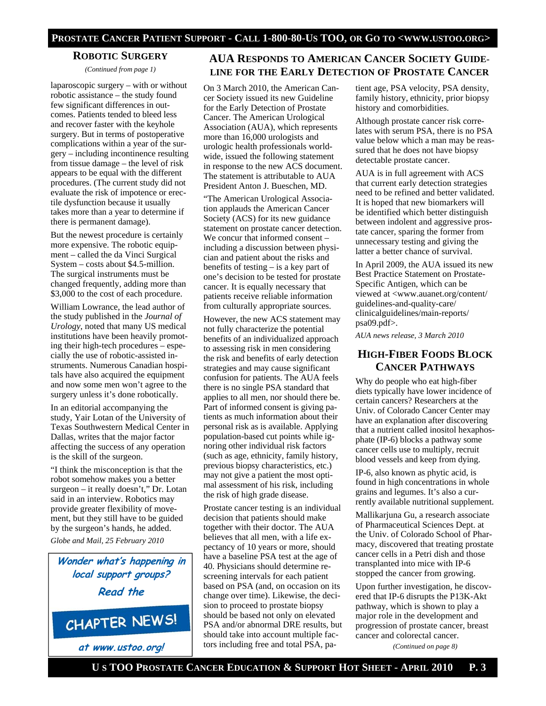#### **ROBOTIC SURGERY**

*(Continued from page 1)* 

laparoscopic surgery – with or without robotic assistance – the study found few significant differences in outcomes. Patients tended to bleed less and recover faster with the keyhole surgery. But in terms of postoperative complications within a year of the surgery – including incontinence resulting from tissue damage – the level of risk appears to be equal with the different procedures. (The current study did not evaluate the risk of impotence or erectile dysfunction because it usually takes more than a year to determine if there is permanent damage).

But the newest procedure is certainly more expensive. The robotic equipment – called the da Vinci Surgical System – costs about \$4.5-million. The surgical instruments must be changed frequently, adding more than \$3,000 to the cost of each procedure.

William Lowrance, the lead author of the study published in the *Journal of Urology*, noted that many US medical institutions have been heavily promoting their high-tech procedures – especially the use of robotic-assisted instruments. Numerous Canadian hospitals have also acquired the equipment and now some men won't agree to the surgery unless it's done robotically.

In an editorial accompanying the study, Yair Lotan of the University of Texas Southwestern Medical Center in Dallas, writes that the major factor affecting the success of any operation is the skill of the surgeon.

"I think the misconception is that the robot somehow makes you a better surgeon – it really doesn't," Dr. Lotan said in an interview. Robotics may provide greater flexibility of movement, but they still have to be guided by the surgeon's hands, he added. *Globe and Mail, 25 February 2010* 

**Wonder what's happening in local support groups? Read the**



**at www.ustoo.org!**

**AUA RESPONDS TO AMERICAN CANCER SOCIETY GUIDE-LINE FOR THE EARLY DETECTION OF PROSTATE CANCER**

On 3 March 2010, the American Cancer Society issued its new Guideline for the Early Detection of Prostate Cancer. The American Urological Association (AUA), which represents more than 16,000 urologists and urologic health professionals worldwide, issued the following statement in response to the new ACS document. The statement is attributable to AUA President Anton J. Bueschen, MD.

"The American Urological Association applauds the American Cancer Society (ACS) for its new guidance statement on prostate cancer detection. We concur that informed consent – including a discussion between physician and patient about the risks and benefits of testing – is a key part of one's decision to be tested for prostate cancer. It is equally necessary that patients receive reliable information from culturally appropriate sources.

However, the new ACS statement may not fully characterize the potential benefits of an individualized approach to assessing risk in men considering the risk and benefits of early detection strategies and may cause significant confusion for patients. The AUA feels there is no single PSA standard that applies to all men, nor should there be. Part of informed consent is giving patients as much information about their personal risk as is available. Applying population-based cut points while ignoring other individual risk factors (such as age, ethnicity, family history, previous biopsy characteristics, etc.) may not give a patient the most optimal assessment of his risk, including the risk of high grade disease.

Prostate cancer testing is an individual decision that patients should make together with their doctor. The AUA believes that all men, with a life expectancy of 10 years or more, should have a baseline PSA test at the age of 40. Physicians should determine rescreening intervals for each patient based on PSA (and, on occasion on its change over time). Likewise, the decision to proceed to prostate biopsy should be based not only on elevated PSA and/or abnormal DRE results, but should take into account multiple factors including free and total PSA, pa-

tient age, PSA velocity, PSA density, family history, ethnicity, prior biopsy history and comorbidities.

Although prostate cancer risk correlates with serum PSA, there is no PSA value below which a man may be reassured that he does not have biopsy detectable prostate cancer.

AUA is in full agreement with ACS that current early detection strategies need to be refined and better validated. It is hoped that new biomarkers will be identified which better distinguish between indolent and aggressive prostate cancer, sparing the former from unnecessary testing and giving the latter a better chance of survival.

In April 2009, the AUA issued its new Best Practice Statement on Prostate-Specific Antigen, which can be viewed at <www.auanet.org/content/ guidelines-and-quality-care/ clinicalguidelines/main-reports/ psa09.pdf>.

*AUA news release, 3 March 2010* 

## **HIGH-FIBER FOODS BLOCK CANCER PATHWAYS**

Why do people who eat high-fiber diets typically have lower incidence of certain cancers? Researchers at the Univ. of Colorado Cancer Center may have an explanation after discovering that a nutrient called inositol hexaphosphate (IP-6) blocks a pathway some cancer cells use to multiply, recruit blood vessels and keep from dying.

IP-6, also known as phytic acid, is found in high concentrations in whole grains and legumes. It's also a currently available nutritional supplement.

Mallikarjuna Gu, a research associate of Pharmaceutical Sciences Dept. at the Univ. of Colorado School of Pharmacy, discovered that treating prostate cancer cells in a Petri dish and those transplanted into mice with IP-6 stopped the cancer from growing.

Upon further investigation, he discovered that IP-6 disrupts the P13K-Akt pathway, which is shown to play a major role in the development and progression of prostate cancer, breast cancer and colorectal cancer.

*(Continued on page 8)*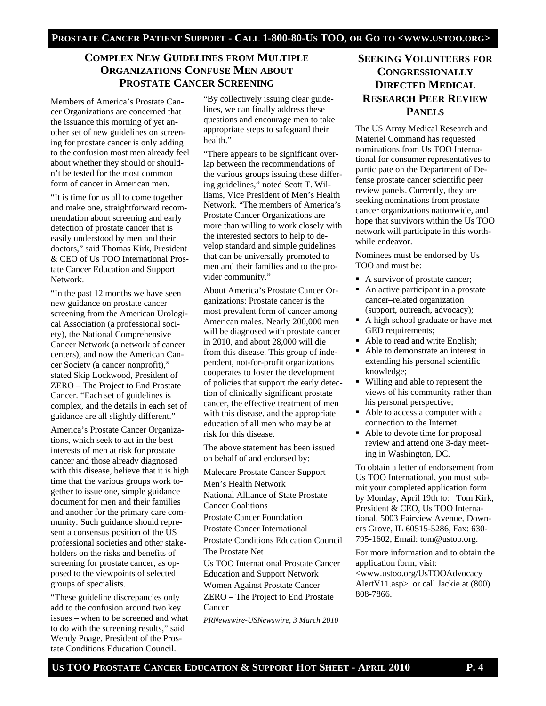## **COMPLEX NEW GUIDELINES FROM MULTIPLE ORGANIZATIONS CONFUSE MEN ABOUT PROSTATE CANCER SCREENING**

Members of America's Prostate Cancer Organizations are concerned that the issuance this morning of yet another set of new guidelines on screening for prostate cancer is only adding to the confusion most men already feel about whether they should or shouldn't be tested for the most common form of cancer in American men.

"It is time for us all to come together and make one, straightforward recommendation about screening and early detection of prostate cancer that is easily understood by men and their doctors," said Thomas Kirk, President & CEO of Us TOO International Prostate Cancer Education and Support Network.

"In the past 12 months we have seen new guidance on prostate cancer screening from the American Urological Association (a professional society), the National Comprehensive Cancer Network (a network of cancer centers), and now the American Cancer Society (a cancer nonprofit)," stated Skip Lockwood, President of ZERO – The Project to End Prostate Cancer. "Each set of guidelines is complex, and the details in each set of guidance are all slightly different."

America's Prostate Cancer Organizations, which seek to act in the best interests of men at risk for prostate cancer and those already diagnosed with this disease, believe that it is high time that the various groups work together to issue one, simple guidance document for men and their families and another for the primary care community. Such guidance should represent a consensus position of the US professional societies and other stakeholders on the risks and benefits of screening for prostate cancer, as opposed to the viewpoints of selected groups of specialists.

"These guideline discrepancies only add to the confusion around two key issues – when to be screened and what to do with the screening results," said Wendy Poage, President of the Prostate Conditions Education Council.

"By collectively issuing clear guidelines, we can finally address these questions and encourage men to take appropriate steps to safeguard their health."

"There appears to be significant overlap between the recommendations of the various groups issuing these differing guidelines," noted Scott T. Williams, Vice President of Men's Health Network. "The members of America's Prostate Cancer Organizations are more than willing to work closely with the interested sectors to help to develop standard and simple guidelines that can be universally promoted to men and their families and to the provider community."

About America's Prostate Cancer Organizations: Prostate cancer is the most prevalent form of cancer among American males. Nearly 200,000 men will be diagnosed with prostate cancer in 2010, and about 28,000 will die from this disease. This group of independent, not-for-profit organizations cooperates to foster the development of policies that support the early detection of clinically significant prostate cancer, the effective treatment of men with this disease, and the appropriate education of all men who may be at risk for this disease.

The above statement has been issued on behalf of and endorsed by:

Malecare Prostate Cancer Support Men's Health Network National Alliance of State Prostate Cancer Coalitions Prostate Cancer Foundation Prostate Cancer International Prostate Conditions Education Council The Prostate Net Us TOO International Prostate Cancer Education and Support Network Women Against Prostate Cancer ZERO – The Project to End Prostate Cancer

*PRNewswire-USNewswire, 3 March 2010* 

## **SEEKING VOLUNTEERS FOR CONGRESSIONALLY DIRECTED MEDICAL RESEARCH PEER REVIEW PANELS**

The US Army Medical Research and Materiel Command has requested nominations from Us TOO International for consumer representatives to participate on the Department of Defense prostate cancer scientific peer review panels. Currently, they are seeking nominations from prostate cancer organizations nationwide, and hope that survivors within the Us TOO network will participate in this worthwhile endeavor.

Nominees must be endorsed by Us TOO and must be:

- A survivor of prostate cancer;
- An active participant in a prostate cancer–related organization (support, outreach, advocacy);
- A high school graduate or have met GED requirements;
- Able to read and write English;
- Able to demonstrate an interest in extending his personal scientific knowledge;
- Willing and able to represent the views of his community rather than his personal perspective;
- Able to access a computer with a connection to the Internet.
- Able to devote time for proposal review and attend one 3-day meeting in Washington, DC.

To obtain a letter of endorsement from Us TOO International, you must submit your completed application form by Monday, April 19th to: Tom Kirk, President & CEO, Us TOO International, 5003 Fairview Avenue, Downers Grove, IL 60515-5286, Fax: 630- 795-1602, Email: tom@ustoo.org.

For more information and to obtain the application form, visit: <www.ustoo.org/UsTOOAdvocacy AlertV11.asp> or call Jackie at (800) 808-7866.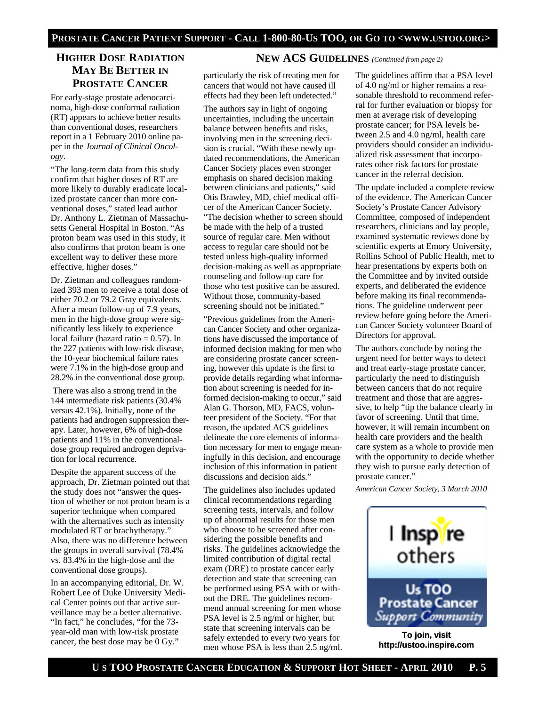## **HIGHER DOSE RADIATION MAY BE BETTER IN PROSTATE CANCER**

For early-stage prostate adenocarcinoma, high-dose conformal radiation (RT) appears to achieve better results than conventional doses, researchers report in a 1 February 2010 online paper in the *Journal of Clinical Oncology*.

"The long-term data from this study confirm that higher doses of RT are more likely to durably eradicate localized prostate cancer than more conventional doses," stated lead author Dr. Anthony L. Zietman of Massachusetts General Hospital in Boston. "As proton beam was used in this study, it also confirms that proton beam is one excellent way to deliver these more effective, higher doses."

Dr. Zietman and colleagues randomized 393 men to receive a total dose of either 70.2 or 79.2 Gray equivalents. After a mean follow-up of 7.9 years, men in the high-dose group were significantly less likely to experience local failure (hazard ratio  $= 0.57$ ). In the 227 patients with low-risk disease, the 10-year biochemical failure rates were 7.1% in the high-dose group and 28.2% in the conventional dose group.

 There was also a strong trend in the 144 intermediate risk patients (30.4% versus 42.1%). Initially, none of the patients had androgen suppression therapy. Later, however, 6% of high-dose patients and 11% in the conventionaldose group required androgen deprivation for local recurrence.

Despite the apparent success of the approach, Dr. Zietman pointed out that the study does not "answer the question of whether or not proton beam is a superior technique when compared with the alternatives such as intensity modulated RT or brachytherapy." Also, there was no difference between the groups in overall survival (78.4% vs. 83.4% in the high-dose and the conventional dose groups).

In an accompanying editorial, Dr. W. Robert Lee of Duke University Medical Center points out that active surveillance may be a better alternative. "In fact," he concludes, "for the 73 year-old man with low-risk prostate

#### **NEW ACS GUIDELINES** *(Continued from page 2)*

particularly the risk of treating men for cancers that would not have caused ill effects had they been left undetected."

The authors say in light of ongoing uncertainties, including the uncertain balance between benefits and risks, involving men in the screening decision is crucial. "With these newly updated recommendations, the American Cancer Society places even stronger emphasis on shared decision making between clinicians and patients," said Otis Brawley, MD, chief medical officer of the American Cancer Society. "The decision whether to screen should be made with the help of a trusted source of regular care. Men without access to regular care should not be tested unless high-quality informed decision-making as well as appropriate counseling and follow-up care for those who test positive can be assured. Without those, community-based screening should not be initiated."

"Previous guidelines from the American Cancer Society and other organizations have discussed the importance of informed decision making for men who are considering prostate cancer screening, however this update is the first to provide details regarding what information about screening is needed for informed decision-making to occur," said Alan G. Thorson, MD, FACS, volunteer president of the Society. "For that reason, the updated ACS guidelines delineate the core elements of information necessary for men to engage meaningfully in this decision, and encourage inclusion of this information in patient discussions and decision aids."

year-old man with low-risk prostate<br>
cancer, the best dose may be 0 Gy." safely extended to every two years for **To join, visit** The guidelines also includes updated clinical recommendations regarding screening tests, intervals, and follow up of abnormal results for those men who choose to be screened after considering the possible benefits and risks. The guidelines acknowledge the limited contribution of digital rectal exam (DRE) to prostate cancer early detection and state that screening can be performed using PSA with or without the DRE. The guidelines recommend annual screening for men whose PSA level is 2.5 ng/ml or higher, but state that screening intervals can be men whose PSA is less than 2.5 ng/ml.

The guidelines affirm that a PSA level of 4.0 ng/ml or higher remains a reasonable threshold to recommend referral for further evaluation or biopsy for men at average risk of developing prostate cancer; for PSA levels between 2.5 and 4.0 ng/ml, health care providers should consider an individualized risk assessment that incorporates other risk factors for prostate cancer in the referral decision.

The update included a complete review of the evidence. The American Cancer Society's Prostate Cancer Advisory Committee, composed of independent researchers, clinicians and lay people, examined systematic reviews done by scientific experts at Emory University, Rollins School of Public Health, met to hear presentations by experts both on the Committee and by invited outside experts, and deliberated the evidence before making its final recommendations. The guideline underwent peer review before going before the American Cancer Society volunteer Board of Directors for approval.

The authors conclude by noting the urgent need for better ways to detect and treat early-stage prostate cancer, particularly the need to distinguish between cancers that do not require treatment and those that are aggressive, to help "tip the balance clearly in favor of screening. Until that time, however, it will remain incumbent on health care providers and the health care system as a whole to provide men with the opportunity to decide whether they wish to pursue early detection of prostate cancer."

*American Cancer Society, 3 March 2010* 

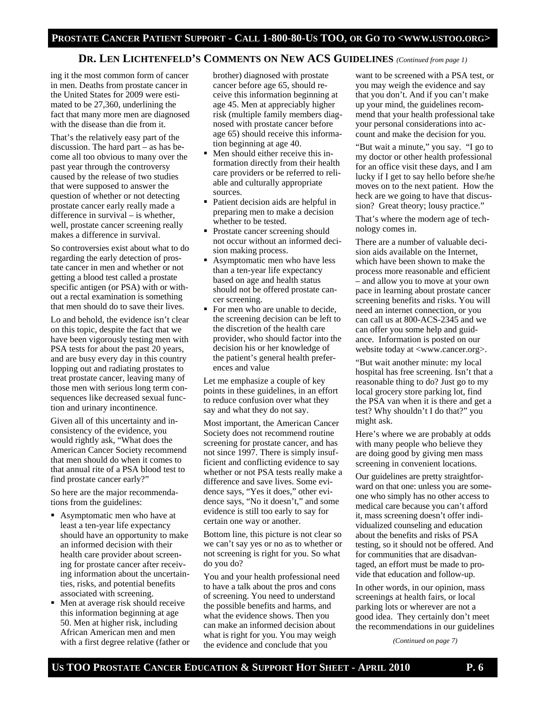## **DR. LEN LICHTENFELD'S COMMENTS ON NEW ACS GUIDELINES** *(Continued from page 1)*

ing it the most common form of cancer in men. Deaths from prostate cancer in the United States for 2009 were estimated to be 27,360, underlining the fact that many more men are diagnosed with the disease than die from it.

That's the relatively easy part of the discussion. The hard part – as has become all too obvious to many over the past year through the controversy caused by the release of two studies that were supposed to answer the question of whether or not detecting prostate cancer early really made a difference in survival – is whether, well, prostate cancer screening really makes a difference in survival.

So controversies exist about what to do regarding the early detection of prostate cancer in men and whether or not getting a blood test called a prostate specific antigen (or PSA) with or without a rectal examination is something that men should do to save their lives.

Lo and behold, the evidence isn't clear on this topic, despite the fact that we have been vigorously testing men with PSA tests for about the past 20 years, and are busy every day in this country lopping out and radiating prostates to treat prostate cancer, leaving many of those men with serious long term consequences like decreased sexual function and urinary incontinence.

Given all of this uncertainty and inconsistency of the evidence, you would rightly ask, "What does the American Cancer Society recommend that men should do when it comes to that annual rite of a PSA blood test to find prostate cancer early?"

So here are the major recommendations from the guidelines:

- Asymptomatic men who have at least a ten-year life expectancy should have an opportunity to make an informed decision with their health care provider about screening for prostate cancer after receiving information about the uncertainties, risks, and potential benefits associated with screening.
- Men at average risk should receive this information beginning at age 50. Men at higher risk, including African American men and men with a first degree relative (father or

brother) diagnosed with prostate cancer before age 65, should receive this information beginning at age 45. Men at appreciably higher risk (multiple family members diagnosed with prostate cancer before age 65) should receive this information beginning at age 40.

- Men should either receive this information directly from their health care providers or be referred to reliable and culturally appropriate sources.
- Patient decision aids are helpful in preparing men to make a decision whether to be tested.
- Prostate cancer screening should not occur without an informed decision making process.
- Asymptomatic men who have less than a ten-year life expectancy based on age and health status should not be offered prostate cancer screening.
- For men who are unable to decide, the screening decision can be left to the discretion of the health care provider, who should factor into the decision his or her knowledge of the patient's general health preferences and value

Let me emphasize a couple of key points in these guidelines, in an effort to reduce confusion over what they say and what they do not say.

Most important, the American Cancer Society does not recommend routine screening for prostate cancer, and has not since 1997. There is simply insufficient and conflicting evidence to say whether or not PSA tests really make a difference and save lives. Some evidence says, "Yes it does," other evidence says, "No it doesn't," and some evidence is still too early to say for certain one way or another.

Bottom line, this picture is not clear so we can't say yes or no as to whether or not screening is right for you. So what do you do?

You and your health professional need to have a talk about the pros and cons of screening. You need to understand the possible benefits and harms, and what the evidence shows. Then you can make an informed decision about what is right for you. You may weigh the evidence and conclude that you

want to be screened with a PSA test, or you may weigh the evidence and say that you don't. And if you can't make up your mind, the guidelines recommend that your health professional take your personal considerations into account and make the decision for you.

"But wait a minute," you say. "I go to my doctor or other health professional for an office visit these days, and I am lucky if I get to say hello before she/he moves on to the next patient. How the heck are we going to have that discussion? Great theory; lousy practice."

That's where the modern age of technology comes in.

There are a number of valuable decision aids available on the Internet, which have been shown to make the process more reasonable and efficient – and allow you to move at your own pace in learning about prostate cancer screening benefits and risks. You will need an internet connection, or you can call us at 800-ACS-2345 and we can offer you some help and guidance. Information is posted on our website today at <www.cancer.org>.

"But wait another minute: my local hospital has free screening. Isn't that a reasonable thing to do? Just go to my local grocery store parking lot, find the PSA van when it is there and get a test? Why shouldn't I do that?" you might ask.

Here's where we are probably at odds with many people who believe they are doing good by giving men mass screening in convenient locations.

Our guidelines are pretty straightforward on that one: unless you are someone who simply has no other access to medical care because you can't afford it, mass screening doesn't offer individualized counseling and education about the benefits and risks of PSA testing, so it should not be offered. And for communities that are disadvantaged, an effort must be made to provide that education and follow-up.

In other words, in our opinion, mass screenings at health fairs, or local parking lots or wherever are not a good idea. They certainly don't meet the recommendations in our guidelines

*(Continued on page 7)*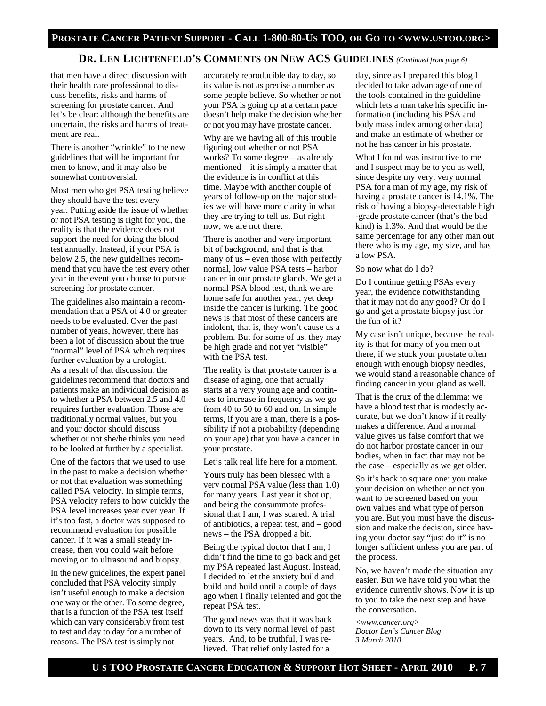## **DR. LEN LICHTENFELD'S COMMENTS ON NEW ACS GUIDELINES** *(Continued from page 6)*

that men have a direct discussion with their health care professional to discuss benefits, risks and harms of screening for prostate cancer. And let's be clear: although the benefits are uncertain, the risks and harms of treatment are real.

There is another "wrinkle" to the new guidelines that will be important for men to know, and it may also be somewhat controversial.

Most men who get PSA testing believe they should have the test every year. Putting aside the issue of whether or not PSA testing is right for you, the reality is that the evidence does not support the need for doing the blood test annually. Instead, if your PSA is below 2.5, the new guidelines recommend that you have the test every other year in the event you choose to pursue screening for prostate cancer.

The guidelines also maintain a recommendation that a PSA of 4.0 or greater needs to be evaluated. Over the past number of years, however, there has been a lot of discussion about the true "normal" level of PSA which requires further evaluation by a urologist. As a result of that discussion, the guidelines recommend that doctors and patients make an individual decision as to whether a PSA between 2.5 and 4.0 requires further evaluation. Those are traditionally normal values, but you and your doctor should discuss whether or not she/he thinks you need to be looked at further by a specialist.

One of the factors that we used to use in the past to make a decision whether or not that evaluation was something called PSA velocity. In simple terms, PSA velocity refers to how quickly the PSA level increases year over year. If it's too fast, a doctor was supposed to recommend evaluation for possible cancer. If it was a small steady increase, then you could wait before moving on to ultrasound and biopsy.

In the new guidelines, the expert panel concluded that PSA velocity simply isn't useful enough to make a decision one way or the other. To some degree, that is a function of the PSA test itself which can vary considerably from test to test and day to day for a number of reasons. The PSA test is simply not

accurately reproducible day to day, so its value is not as precise a number as some people believe. So whether or not your PSA is going up at a certain pace doesn't help make the decision whether or not you may have prostate cancer.

Why are we having all of this trouble figuring out whether or not PSA works? To some degree – as already mentioned – it is simply a matter that the evidence is in conflict at this time. Maybe with another couple of years of follow-up on the major studies we will have more clarity in what they are trying to tell us. But right now, we are not there.

There is another and very important bit of background, and that is that many of us – even those with perfectly normal, low value PSA tests – harbor cancer in our prostate glands. We get a normal PSA blood test, think we are home safe for another year, yet deep inside the cancer is lurking. The good news is that most of these cancers are indolent, that is, they won't cause us a problem. But for some of us, they may be high grade and not yet "visible" with the PSA test.

The reality is that prostate cancer is a disease of aging, one that actually starts at a very young age and continues to increase in frequency as we go from 40 to 50 to 60 and on. In simple terms, if you are a man, there is a possibility if not a probability (depending on your age) that you have a cancer in your prostate.

#### Let's talk real life here for a moment.

Yours truly has been blessed with a very normal PSA value (less than 1.0) for many years. Last year it shot up, and being the consummate professional that I am, I was scared. A trial of antibiotics, a repeat test, and – good news – the PSA dropped a bit.

Being the typical doctor that I am, I didn't find the time to go back and get my PSA repeated last August. Instead, I decided to let the anxiety build and build and build until a couple of days ago when I finally relented and got the repeat PSA test.

The good news was that it was back down to its very normal level of past years. And, to be truthful, I was relieved. That relief only lasted for a

day, since as I prepared this blog I decided to take advantage of one of the tools contained in the guideline which lets a man take his specific information (including his PSA and body mass index among other data) and make an estimate of whether or not he has cancer in his prostate.

What I found was instructive to me and I suspect may be to you as well, since despite my very, very normal PSA for a man of my age, my risk of having a prostate cancer is 14.1%. The risk of having a biopsy-detectable high -grade prostate cancer (that's the bad kind) is 1.3%. And that would be the same percentage for any other man out there who is my age, my size, and has a low PSA.

So now what do I do?

Do I continue getting PSAs every year, the evidence notwithstanding that it may not do any good? Or do I go and get a prostate biopsy just for the fun of it?

My case isn't unique, because the reality is that for many of you men out there, if we stuck your prostate often enough with enough biopsy needles, we would stand a reasonable chance of finding cancer in your gland as well.

That is the crux of the dilemma: we have a blood test that is modestly accurate, but we don't know if it really makes a difference. And a normal value gives us false comfort that we do not harbor prostate cancer in our bodies, when in fact that may not be the case – especially as we get older.

So it's back to square one: you make your decision on whether or not you want to be screened based on your own values and what type of person you are. But you must have the discussion and make the decision, since having your doctor say "just do it" is no longer sufficient unless you are part of the process.

No, we haven't made the situation any easier. But we have told you what the evidence currently shows. Now it is up to you to take the next step and have the conversation.

*<www.cancer.org> Doctor Len's Cancer Blog 3 March 2010*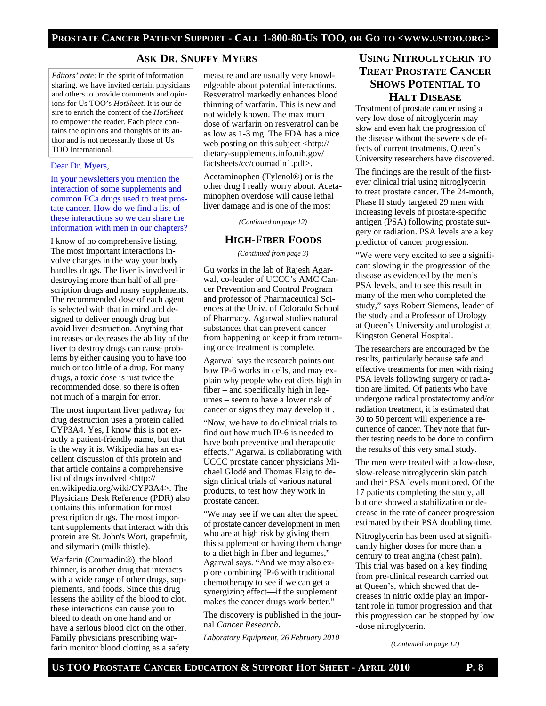## **ASK DR. SNUFFY MYERS**

*Editors' note*: In the spirit of information sharing, we have invited certain physicians and others to provide comments and opinions for Us TOO's *HotSheet.* It is our desire to enrich the content of the *HotSheet*  to empower the reader. Each piece contains the opinions and thoughts of its author and is not necessarily those of Us TOO International.

#### Dear Dr. Myers,

In your newsletters you mention the interaction of some supplements and common PCa drugs used to treat prostate cancer. How do we find a list of these interactions so we can share the information with men in our chapters?

I know of no comprehensive listing. The most important interactions involve changes in the way your body handles drugs. The liver is involved in destroying more than half of all prescription drugs and many supplements. The recommended dose of each agent is selected with that in mind and designed to deliver enough drug but avoid liver destruction. Anything that increases or decreases the ability of the liver to destroy drugs can cause problems by either causing you to have too much or too little of a drug. For many drugs, a toxic dose is just twice the recommended dose, so there is often not much of a margin for error.

The most important liver pathway for drug destruction uses a protein called CYP3A4. Yes, I know this is not exactly a patient-friendly name, but that is the way it is. Wikipedia has an excellent discussion of this protein and that article contains a comprehensive list of drugs involved <http:// en.wikipedia.org/wiki/CYP3A4>. The Physicians Desk Reference (PDR) also contains this information for most prescription drugs. The most important supplements that interact with this protein are St. John's Wort, grapefruit, and silymarin (milk thistle).

Warfarin (Coumadin®), the blood thinner, is another drug that interacts with a wide range of other drugs, supplements, and foods. Since this drug lessens the ability of the blood to clot, these interactions can cause you to bleed to death on one hand and or have a serious blood clot on the other. Family physicians prescribing warfarin monitor blood clotting as a safety measure and are usually very knowledgeable about potential interactions. Resveratrol markedly enhances blood thinning of warfarin. This is new and not widely known. The maximum dose of warfarin on resveratrol can be as low as 1-3 mg. The FDA has a nice web posting on this subject <http:// dietary-supplements.info.nih.gov/ factsheets/cc/coumadin1.pdf>.

Acetaminophen (Tylenol®) or is the other drug I really worry about. Acetaminophen overdose will cause lethal liver damage and is one of the most

*(Continued on page 12)* 

#### **HIGH-FIBER FOODS**

*(Continued from page 3)* 

Gu works in the lab of Rajesh Agarwal, co-leader of UCCC's AMC Cancer Prevention and Control Program and professor of Pharmaceutical Sciences at the Univ. of Colorado School of Pharmacy. Agarwal studies natural substances that can prevent cancer from happening or keep it from returning once treatment is complete.

Agarwal says the research points out how IP-6 works in cells, and may explain why people who eat diets high in fiber – and specifically high in legumes – seem to have a lower risk of cancer or signs they may develop it .

"Now, we have to do clinical trials to find out how much IP-6 is needed to have both preventive and therapeutic effects." Agarwal is collaborating with UCCC prostate cancer physicians Michael Glodé and Thomas Flaig to design clinical trials of various natural products, to test how they work in prostate cancer.

"We may see if we can alter the speed of prostate cancer development in men who are at high risk by giving them this supplement or having them change to a diet high in fiber and legumes," Agarwal says. "And we may also explore combining IP-6 with traditional chemotherapy to see if we can get a synergizing effect—if the supplement makes the cancer drugs work better."

The discovery is published in the journal *Cancer Research*.

*Laboratory Equipment, 26 February 2010* 

## **USING NITROGLYCERIN TO TREAT PROSTATE CANCER SHOWS POTENTIAL TO HALT DISEASE**<br>Treatment of prostate cancer using a

very low dose of nitroglycerin may slow and even halt the progression of the disease without the severe side effects of current treatments, Queen's University researchers have discovered.

The findings are the result of the firstever clinical trial using nitroglycerin to treat prostate cancer. The 24-month, Phase II study targeted 29 men with increasing levels of prostate-specific antigen (PSA) following prostate surgery or radiation. PSA levels are a key predictor of cancer progression.

"We were very excited to see a significant slowing in the progression of the disease as evidenced by the men's PSA levels, and to see this result in many of the men who completed the study," says Robert Siemens, leader of the study and a Professor of Urology at Queen's University and urologist at Kingston General Hospital.

The researchers are encouraged by the results, particularly because safe and effective treatments for men with rising PSA levels following surgery or radiation are limited. Of patients who have undergone radical prostatectomy and/or radiation treatment, it is estimated that 30 to 50 percent will experience a recurrence of cancer. They note that further testing needs to be done to confirm the results of this very small study.

The men were treated with a low-dose, slow-release nitroglycerin skin patch and their PSA levels monitored. Of the 17 patients completing the study, all but one showed a stabilization or decrease in the rate of cancer progression estimated by their PSA doubling time.

Nitroglycerin has been used at significantly higher doses for more than a century to treat angina (chest pain). This trial was based on a key finding from pre-clinical research carried out at Queen's, which showed that decreases in nitric oxide play an important role in tumor progression and that this progression can be stopped by low -dose nitroglycerin.

*(Continued on page 12)*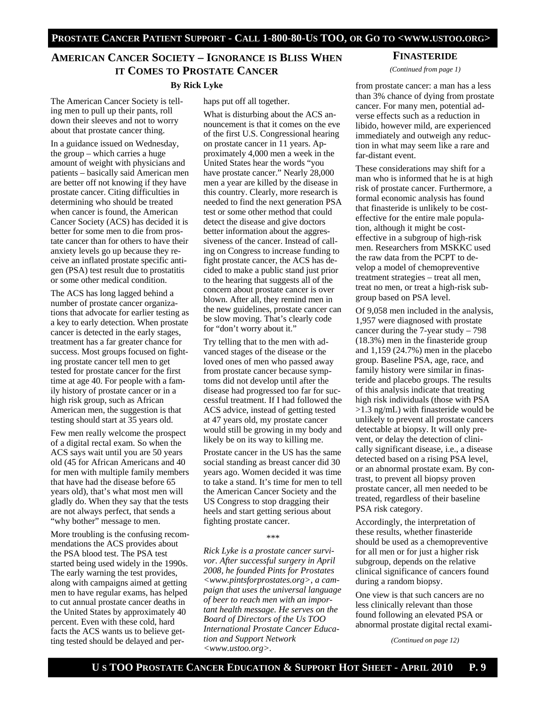## **AMERICAN CANCER SOCIETY – IGNORANCE IS BLISS WHEN IT COMES TO PROSTATE CANCER**

#### **By Rick Lyke**

The American Cancer Society is telling men to pull up their pants, roll down their sleeves and not to worry about that prostate cancer thing.

In a guidance issued on Wednesday, the group – which carries a huge amount of weight with physicians and patients – basically said American men are better off not knowing if they have prostate cancer. Citing difficulties in determining who should be treated when cancer is found, the American Cancer Society (ACS) has decided it is better for some men to die from prostate cancer than for others to have their anxiety levels go up because they receive an inflated prostate specific antigen (PSA) test result due to prostatitis or some other medical condition.

The ACS has long lagged behind a number of prostate cancer organizations that advocate for earlier testing as a key to early detection. When prostate cancer is detected in the early stages, treatment has a far greater chance for success. Most groups focused on fighting prostate cancer tell men to get tested for prostate cancer for the first time at age 40. For people with a family history of prostate cancer or in a high risk group, such as African American men, the suggestion is that testing should start at 35 years old.

Few men really welcome the prospect of a digital rectal exam. So when the ACS says wait until you are 50 years old (45 for African Americans and 40 for men with multiple family members that have had the disease before 65 years old), that's what most men will gladly do. When they say that the tests are not always perfect, that sends a "why bother" message to men.

More troubling is the confusing recommendations the ACS provides about the PSA blood test. The PSA test started being used widely in the 1990s. The early warning the test provides, along with campaigns aimed at getting men to have regular exams, has helped to cut annual prostate cancer deaths in the United States by approximately 40 percent. Even with these cold, hard facts the ACS wants us to believe getting tested should be delayed and perhaps put off all together.

What is disturbing about the ACS announcement is that it comes on the eve of the first U.S. Congressional hearing on prostate cancer in 11 years. Approximately 4,000 men a week in the United States hear the words "you have prostate cancer." Nearly 28,000 men a year are killed by the disease in this country. Clearly, more research is needed to find the next generation PSA test or some other method that could detect the disease and give doctors better information about the aggressiveness of the cancer. Instead of calling on Congress to increase funding to fight prostate cancer, the ACS has decided to make a public stand just prior to the hearing that suggests all of the concern about prostate cancer is over blown. After all, they remind men in the new guidelines, prostate cancer can be slow moving. That's clearly code for "don't worry about it."

Try telling that to the men with advanced stages of the disease or the loved ones of men who passed away from prostate cancer because symptoms did not develop until after the disease had progressed too far for successful treatment. If I had followed the ACS advice, instead of getting tested at 47 years old, my prostate cancer would still be growing in my body and likely be on its way to killing me.

Prostate cancer in the US has the same social standing as breast cancer did 30 years ago. Women decided it was time to take a stand. It's time for men to tell the American Cancer Society and the US Congress to stop dragging their heels and start getting serious about fighting prostate cancer.

\*\*\*

*Rick Lyke is a prostate cancer survivor. After successful surgery in April 2008, he founded Pints for Prostates <www.pintsforprostates.org>, a campaign that uses the universal language of beer to reach men with an important health message. He serves on the Board of Directors of the Us TOO International Prostate Cancer Education and Support Network <www.ustoo.org>.* 

#### **FINASTERIDE**

*(Continued from page 1)* 

from prostate cancer: a man has a less than 3% chance of dying from prostate cancer. For many men, potential adverse effects such as a reduction in libido, however mild, are experienced immediately and outweigh any reduction in what may seem like a rare and far-distant event.

These considerations may shift for a man who is informed that he is at high risk of prostate cancer. Furthermore, a formal economic analysis has found that finasteride is unlikely to be costeffective for the entire male population, although it might be costeffective in a subgroup of high-risk men. Researchers from MSKKC used the raw data from the PCPT to develop a model of chemopreventive treatment strategies – treat all men, treat no men, or treat a high-risk subgroup based on PSA level.

Of 9,058 men included in the analysis, 1,957 were diagnosed with prostate cancer during the 7-year study – 798 (18.3%) men in the finasteride group and 1,159 (24.7%) men in the placebo group. Baseline PSA, age, race, and family history were similar in finasteride and placebo groups. The results of this analysis indicate that treating high risk individuals (those with PSA >1.3 ng/mL) with finasteride would be unlikely to prevent all prostate cancers detectable at biopsy. It will only prevent, or delay the detection of clinically significant disease, i.e., a disease detected based on a rising PSA level, or an abnormal prostate exam. By contrast, to prevent all biopsy proven prostate cancer, all men needed to be treated, regardless of their baseline PSA risk category.

Accordingly, the interpretation of these results, whether finasteride should be used as a chemopreventive for all men or for just a higher risk subgroup, depends on the relative clinical significance of cancers found during a random biopsy.

One view is that such cancers are no less clinically relevant than those found following an elevated PSA or abnormal prostate digital rectal exami-

*(Continued on page 12)*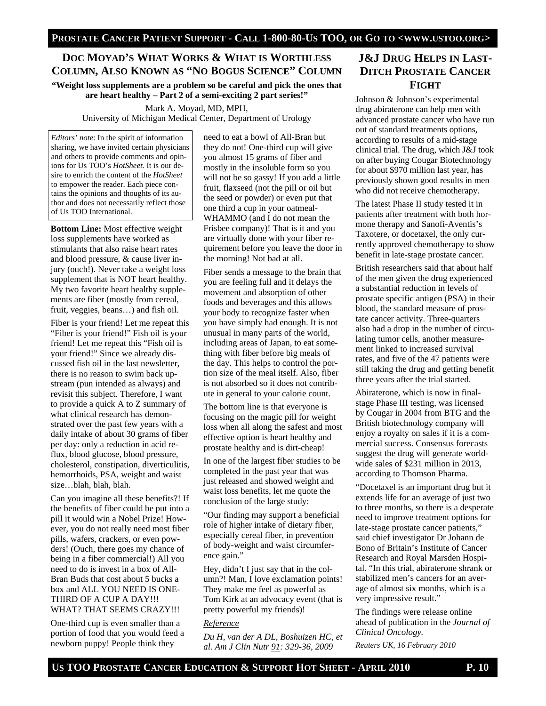## **DOC MOYAD'S WHAT WORKS & WHAT IS WORTHLESS COLUMN, ALSO KNOWN AS "NO BOGUS SCIENCE" COLUMN**

**"Weight loss supplements are a problem so be careful and pick the ones that are heart healthy – Part 2 of a semi-exciting 2 part series!"**

> Mark A. Moyad, MD, MPH, University of Michigan Medical Center, Department of Urology

*Editors' note*: In the spirit of information sharing, we have invited certain physicians and others to provide comments and opinions for Us TOO's *HotSheet.* It is our desire to enrich the content of the *HotSheet*  to empower the reader. Each piece contains the opinions and thoughts of its author and does not necessarily reflect those of Us TOO International.

**Bottom Line:** Most effective weight loss supplements have worked as stimulants that also raise heart rates and blood pressure, & cause liver injury (ouch!). Never take a weight loss supplement that is NOT heart healthy. My two favorite heart healthy supplements are fiber (mostly from cereal, fruit, veggies, beans…) and fish oil.

Fiber is your friend! Let me repeat this "Fiber is your friend!" Fish oil is your friend! Let me repeat this "Fish oil is your friend!" Since we already discussed fish oil in the last newsletter, there is no reason to swim back upstream (pun intended as always) and revisit this subject. Therefore, I want to provide a quick A to Z summary of what clinical research has demonstrated over the past few years with a daily intake of about 30 grams of fiber per day: only a reduction in acid reflux, blood glucose, blood pressure, cholesterol, constipation, diverticulitis, hemorrhoids, PSA, weight and waist size…blah, blah, blah.

Can you imagine all these benefits?! If the benefits of fiber could be put into a pill it would win a Nobel Prize! However, you do not really need most fiber pills, wafers, crackers, or even powders! (Ouch, there goes my chance of being in a fiber commercial!) All you need to do is invest in a box of All-Bran Buds that cost about 5 bucks a box and ALL YOU NEED IS ONE-THIRD OF A CUP A DAY!!! WHAT? THAT SEEMS CRAZY!!!

One-third cup is even smaller than a portion of food that you would feed a newborn puppy! People think they

need to eat a bowl of All-Bran but they do not! One-third cup will give you almost 15 grams of fiber and mostly in the insoluble form so you will not be so gassy! If you add a little fruit, flaxseed (not the pill or oil but the seed or powder) or even put that one third a cup in your oatmeal-WHAMMO (and I do not mean the Frisbee company)! That is it and you are virtually done with your fiber requirement before you leave the door in the morning! Not bad at all.

Fiber sends a message to the brain that you are feeling full and it delays the movement and absorption of other foods and beverages and this allows your body to recognize faster when you have simply had enough. It is not unusual in many parts of the world, including areas of Japan, to eat something with fiber before big meals of the day. This helps to control the portion size of the meal itself. Also, fiber is not absorbed so it does not contribute in general to your calorie count.

The bottom line is that everyone is focusing on the magic pill for weight loss when all along the safest and most effective option is heart healthy and prostate healthy and is dirt-cheap!

In one of the largest fiber studies to be completed in the past year that was just released and showed weight and waist loss benefits, let me quote the conclusion of the large study:

"Our finding may support a beneficial role of higher intake of dietary fiber, especially cereal fiber, in prevention of body-weight and waist circumference gain."

Hey, didn't I just say that in the column?! Man, I love exclamation points! They make me feel as powerful as Tom Kirk at an advocacy event (that is pretty powerful my friends)!

#### *Reference*

*Du H, van der A DL, Boshuizen HC, et al. Am J Clin Nutr 91: 329-36, 2009* 

## **J&J DRUG HELPS IN LAST-DITCH PROSTATE CANCER FIGHT**

Johnson & Johnson's experimental drug abiraterone can help men with advanced prostate cancer who have run out of standard treatments options, according to results of a mid-stage clinical trial. The drug, which J&J took on after buying Cougar Biotechnology for about \$970 million last year, has previously shown good results in men who did not receive chemotherapy.

The latest Phase II study tested it in patients after treatment with both hormone therapy and Sanofi-Aventis's Taxotere, or docetaxel, the only currently approved chemotherapy to show benefit in late-stage prostate cancer.

British researchers said that about half of the men given the drug experienced a substantial reduction in levels of prostate specific antigen (PSA) in their blood, the standard measure of prostate cancer activity. Three-quarters also had a drop in the number of circulating tumor cells, another measurement linked to increased survival rates, and five of the 47 patients were still taking the drug and getting benefit three years after the trial started.

Abiraterone, which is now in finalstage Phase III testing, was licensed by Cougar in 2004 from BTG and the British biotechnology company will enjoy a royalty on sales if it is a commercial success. Consensus forecasts suggest the drug will generate worldwide sales of \$231 million in 2013, according to Thomson Pharma.

"Docetaxel is an important drug but it extends life for an average of just two to three months, so there is a desperate need to improve treatment options for late-stage prostate cancer patients," said chief investigator Dr Johann de Bono of Britain's Institute of Cancer Research and Royal Marsden Hospital. "In this trial, abiraterone shrank or stabilized men's cancers for an average of almost six months, which is a very impressive result."

The findings were release online ahead of publication in the *Journal of Clinical Oncology.*

*Reuters UK, 16 February 2010*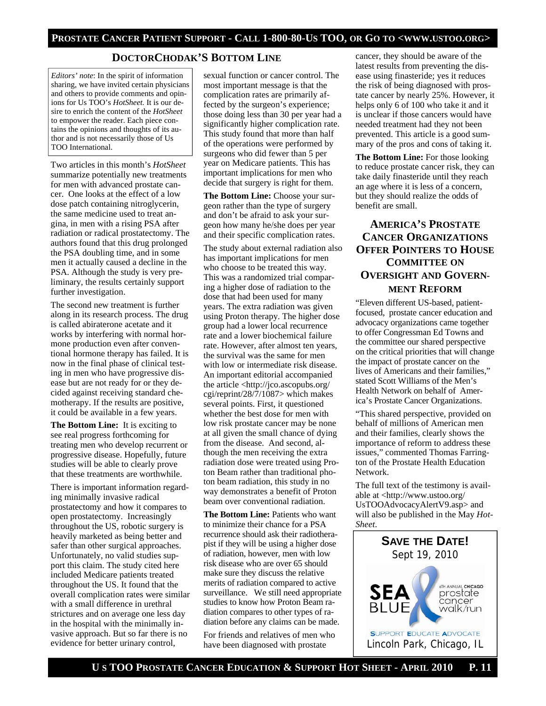#### **DOCTORCHODAK'S BOTTOM LINE**

*Editors' note*: In the spirit of information sharing, we have invited certain physicians and others to provide comments and opinions for Us TOO's *HotSheet.* It is our desire to enrich the content of the *HotSheet*  to empower the reader. Each piece contains the opinions and thoughts of its author and is not necessarily those of Us TOO International.

Two articles in this month's *HotSheet* summarize potentially new treatments for men with advanced prostate cancer. One looks at the effect of a low dose patch containing nitroglycerin, the same medicine used to treat angina, in men with a rising PSA after radiation or radical prostatectomy. The authors found that this drug prolonged the PSA doubling time, and in some men it actually caused a decline in the PSA. Although the study is very preliminary, the results certainly support further investigation.

The second new treatment is further along in its research process. The drug is called abiraterone acetate and it works by interfering with normal hormone production even after conventional hormone therapy has failed. It is now in the final phase of clinical testing in men who have progressive disease but are not ready for or they decided against receiving standard chemotherapy. If the results are positive, it could be available in a few years.

**The Bottom Line:** It is exciting to see real progress forthcoming for treating men who develop recurrent or progressive disease. Hopefully, future studies will be able to clearly prove that these treatments are worthwhile.

There is important information regarding minimally invasive radical prostatectomy and how it compares to open prostatectomy. Increasingly throughout the US, robotic surgery is heavily marketed as being better and safer than other surgical approaches. Unfortunately, no valid studies support this claim. The study cited here included Medicare patients treated throughout the US. It found that the overall complication rates were similar with a small difference in urethral strictures and on average one less day in the hospital with the minimally invasive approach. But so far there is no evidence for better urinary control,

sexual function or cancer control. The most important message is that the complication rates are primarily affected by the surgeon's experience; those doing less than 30 per year had a significantly higher complication rate. This study found that more than half of the operations were performed by surgeons who did fewer than 5 per year on Medicare patients. This has important implications for men who decide that surgery is right for them.

**The Bottom Line:** Choose your surgeon rather than the type of surgery and don't be afraid to ask your surgeon how many he/she does per year and their specific complication rates.

The study about external radiation also has important implications for men who choose to be treated this way. This was a randomized trial comparing a higher dose of radiation to the dose that had been used for many years. The extra radiation was given using Proton therapy. The higher dose group had a lower local recurrence rate and a lower biochemical failure rate. However, after almost ten years, the survival was the same for men with low or intermediate risk disease. An important editorial accompanied the article <http://jco.ascopubs.org/ cgi/reprint/28/7/1087> which makes several points. First, it questioned whether the best dose for men with low risk prostate cancer may be none at all given the small chance of dying from the disease. And second, although the men receiving the extra radiation dose were treated using Proton Beam rather than traditional photon beam radiation, this study in no way demonstrates a benefit of Proton beam over conventional radiation.

**The Bottom Line:** Patients who want to minimize their chance for a PSA recurrence should ask their radiotherapist if they will be using a higher dose of radiation, however, men with low risk disease who are over 65 should make sure they discuss the relative merits of radiation compared to active surveillance. We still need appropriate studies to know how Proton Beam radiation compares to other types of radiation before any claims can be made.

For friends and relatives of men who have been diagnosed with prostate

cancer, they should be aware of the latest results from preventing the disease using finasteride; yes it reduces the risk of being diagnosed with prostate cancer by nearly 25%. However, it helps only 6 of 100 who take it and it is unclear if those cancers would have needed treatment had they not been prevented. This article is a good summary of the pros and cons of taking it.

**The Bottom Line:** For those looking to reduce prostate cancer risk, they can take daily finasteride until they reach an age where it is less of a concern, but they should realize the odds of benefit are small.

## **AMERICA'S PROSTATE CANCER ORGANIZATIONS OFFER POINTERS TO HOUSE COMMITTEE ON OVERSIGHT AND GOVERN-MENT REFORM**

"Eleven different US-based, patientfocused, prostate cancer education and advocacy organizations came together to offer Congressman Ed Towns and the committee our shared perspective on the critical priorities that will change the impact of prostate cancer on the lives of Americans and their families," stated Scott Williams of the Men's Health Network on behalf of America's Prostate Cancer Organizations.

"This shared perspective, provided on behalf of millions of American men and their families, clearly shows the importance of reform to address these issues," commented Thomas Farrington of the Prostate Health Education Network.

The full text of the testimony is available at <http://www.ustoo.org/ UsTOOAdvocacyAlertV9.asp> and will also be published in the May *Hot-Sheet*.